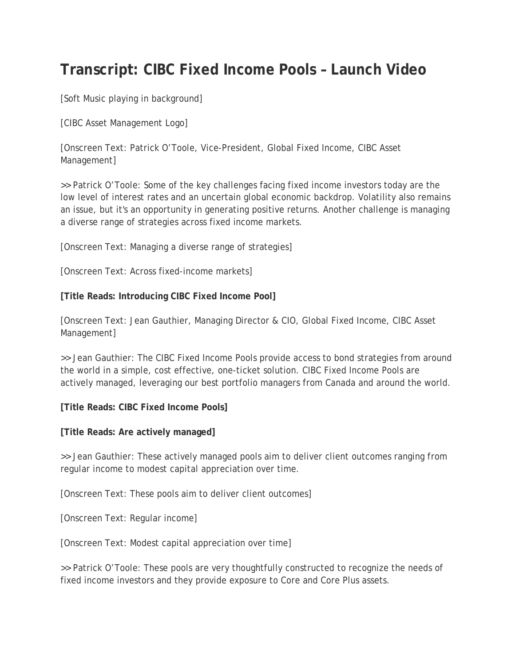## **Transcript: CIBC Fixed Income Pools – Launch Video**

[Soft Music playing in background]

[CIBC Asset Management Logo]

[Onscreen Text: Patrick O'Toole, Vice-President, Global Fixed Income, CIBC Asset Management]

>> Patrick O'Toole: Some of the key challenges facing fixed income investors today are the low level of interest rates and an uncertain global economic backdrop. Volatility also remains an issue, but it's an opportunity in generating positive returns. Another challenge is managing a diverse range of strategies across fixed income markets.

[Onscreen Text: Managing a diverse range of strategies]

[Onscreen Text: Across fixed-income markets]

**[Title Reads: Introducing CIBC Fixed Income Pool]**

[Onscreen Text: Jean Gauthier, Managing Director & CIO, Global Fixed Income, CIBC Asset Management]

>> Jean Gauthier: The CIBC Fixed Income Pools provide access to bond strategies from around the world in a simple, cost effective, one-ticket solution. CIBC Fixed Income Pools are actively managed, leveraging our best portfolio managers from Canada and around the world.

**[Title Reads: CIBC Fixed Income Pools]**

**[Title Reads: Are actively managed]**

>> Jean Gauthier: These actively managed pools aim to deliver client outcomes ranging from regular income to modest capital appreciation over time.

[Onscreen Text: These pools aim to deliver client outcomes]

[Onscreen Text: Regular income]

[Onscreen Text: Modest capital appreciation over time]

>> Patrick O'Toole: These pools are very thoughtfully constructed to recognize the needs of fixed income investors and they provide exposure to Core and Core Plus assets.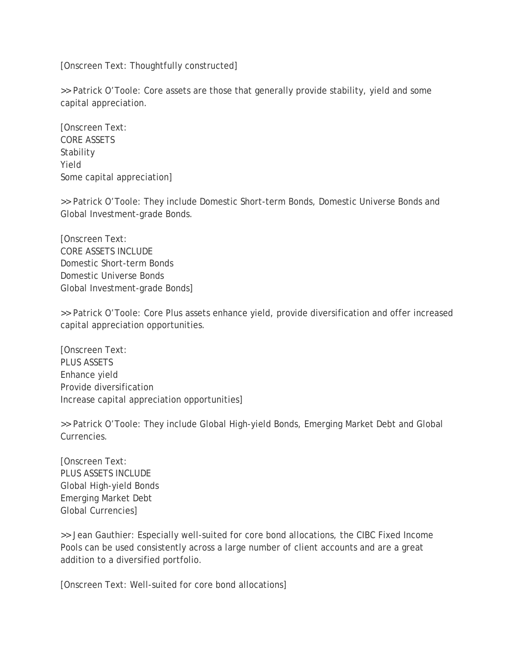[Onscreen Text: Thoughtfully constructed]

>> Patrick O'Toole: Core assets are those that generally provide stability, yield and some capital appreciation.

[Onscreen Text: CORE ASSETS Stability Yield Some capital appreciation]

>> Patrick O'Toole: They include Domestic Short-term Bonds, Domestic Universe Bonds and Global Investment-grade Bonds.

[Onscreen Text: CORE ASSETS INCLUDE Domestic Short-term Bonds Domestic Universe Bonds Global Investment-grade Bonds]

>> Patrick O'Toole: Core Plus assets enhance yield, provide diversification and offer increased capital appreciation opportunities.

[Onscreen Text: PLUS ASSETS Enhance yield Provide diversification Increase capital appreciation opportunities]

>> Patrick O'Toole: They include Global High-yield Bonds, Emerging Market Debt and Global Currencies.

[Onscreen Text: PLUS ASSETS INCLUDE Global High-yield Bonds Emerging Market Debt Global Currencies]

>> Jean Gauthier: Especially well-suited for core bond allocations, the CIBC Fixed Income Pools can be used consistently across a large number of client accounts and are a great addition to a diversified portfolio.

[Onscreen Text: Well-suited for core bond allocations]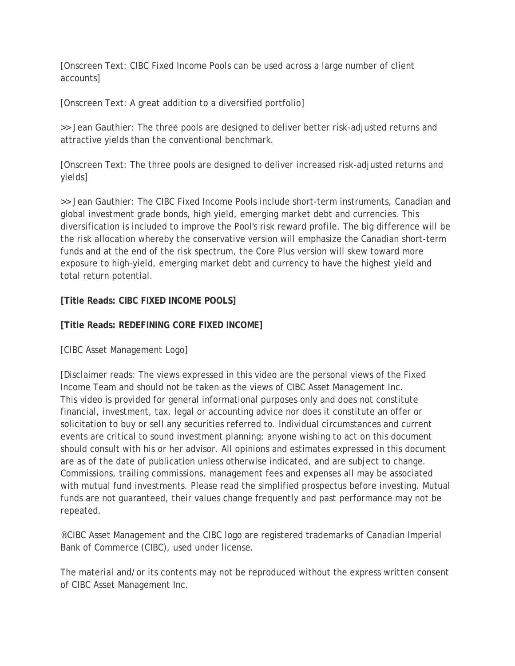[Onscreen Text: CIBC Fixed Income Pools can be used across a large number of client accounts]

[Onscreen Text: A great addition to a diversified portfolio]

>> Jean Gauthier: The three pools are designed to deliver better risk-adjusted returns and attractive yields than the conventional benchmark.

[Onscreen Text: The three pools are designed to deliver increased risk-adjusted returns and yields]

>> Jean Gauthier: The CIBC Fixed Income Pools include short-term instruments, Canadian and global investment grade bonds, high yield, emerging market debt and currencies. This diversification is included to improve the Pool's risk reward profile. The big difference will be the risk allocation whereby the conservative version will emphasize the Canadian short-term funds and at the end of the risk spectrum, the Core Plus version will skew toward more exposure to high-yield, emerging market debt and currency to have the highest yield and total return potential.

## **[Title Reads: CIBC FIXED INCOME POOLS]**

## **[Title Reads: REDEFINING CORE FIXED INCOME]**

[CIBC Asset Management Logo]

[Disclaimer reads: The views expressed in this video are the personal views of the Fixed Income Team and should not be taken as the views of CIBC Asset Management Inc. This video is provided for general informational purposes only and does not constitute financial, investment, tax, legal or accounting advice nor does it constitute an offer or solicitation to buy or sell any securities referred to. Individual circumstances and current events are critical to sound investment planning; anyone wishing to act on this document should consult with his or her advisor. All opinions and estimates expressed in this document are as of the date of publication unless otherwise indicated, and are subject to change. Commissions, trailing commissions, management fees and expenses all may be associated with mutual fund investments. Please read the simplified prospectus before investing. Mutual funds are not guaranteed, their values change frequently and past performance may not be repeated.

®CIBC Asset Management and the CIBC logo are registered trademarks of Canadian Imperial Bank of Commerce (CIBC), used under license.

The material and/or its contents may not be reproduced without the express written consent of CIBC Asset Management Inc.